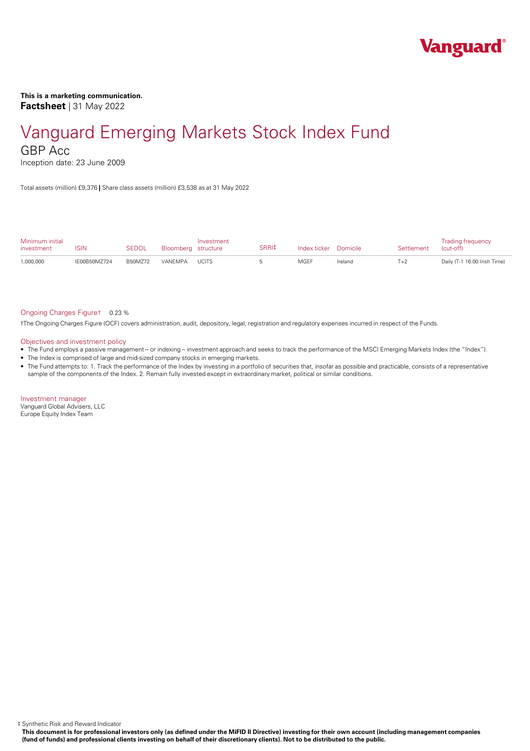

### **This is a marketing communication. Factsheet** | 31 May 2022

# Vanguard Emerging Markets Stock Index Fund

GBP Acc

Inception date: 23 June 2009

Total assets (million) £9,376 **|** Share class assets (million) £3,538 as at 31 May 2022

| Minimum initial<br>investment | ISIN         | <b>SEDOL</b> | Bloomberg structure | Investment | SRRI‡ | Index ticker Domicile |         | Settlement | <b>Trading frequency</b><br>(cut-off) |
|-------------------------------|--------------|--------------|---------------------|------------|-------|-----------------------|---------|------------|---------------------------------------|
| 1,000,000                     | IE00B50MZ724 | B50M772      | VANEMPA UCITS       |            |       | MGEF                  | Ireland | $T+2$      | Daily (T-1 16:00 Irish Time)          |

#### Ongoing Charges Figure† 0.23 %

†The Ongoing Charges Figure (OCF) covers administration, audit, depository, legal, registration and regulatory expenses incurred in respect of the Funds.

#### Objectives and investment policy

- The Fund employs a passive management orindexing investment approach and seeks to track the performance of the MSCI Emerging Markets Index (the "Index").
- The Index is comprised of large and mid-sized company stocks in emerging markets.
- The Fund attempts to: 1. Track the performance of the Index by investing in a portfolio of securities that, insofar as possible and practicable, consists of a representative sample of the components of the Index. 2. Remain fully invested except in extraordinary market, political or similar conditions.

Investment manager Vanguard Global Advisers, LLC Europe Equity Index Team

‡ Synthetic Risk and Reward Indicator

This document is for professional investors only (as defined under the MiFID II Directive) investing for their own account (including management companies (fund of funds) and professional clients investing on behalf of their discretionary clients). Not to be distributed to the public.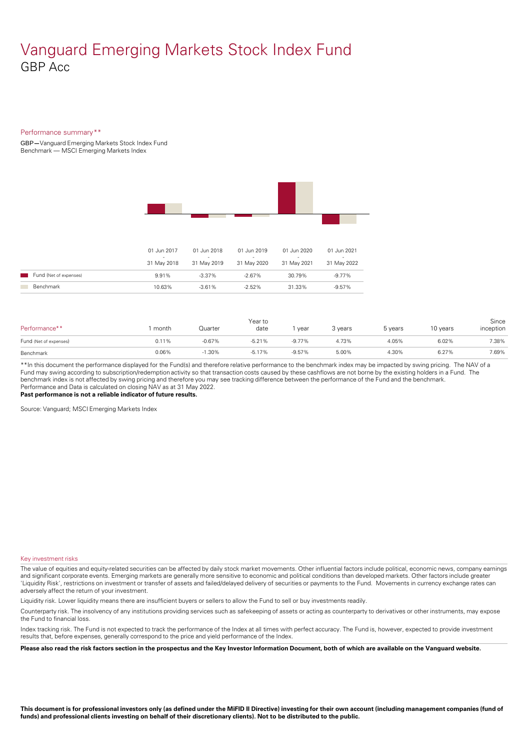### Vanguard Emerging Markets Stock Index Fund GBP Acc

#### Performance summary\*\*

GBP**—**Vanguard Emerging Markets Stock Index Fund Benchmark — MSCI Emerging Markets Index



|                        | 01 Jun 2017<br>31 May 2018 | 01 Jun 2018<br>31 May 2019 | 01 Jun 2019<br>$\overline{\phantom{a}}$<br>31 May 2020 | 01 Jun 2020<br>31 May 2021 | 01 Jun 2021<br>31 May 2022 |
|------------------------|----------------------------|----------------------------|--------------------------------------------------------|----------------------------|----------------------------|
| Fund (Net of expenses) | 9.91%                      | $-3.37\%$                  | $-2.67\%$                                              | 30.79%                     | $-9.77\%$                  |
| Benchmark              | 10.63%                     | $-3.61\%$                  | $-2.52\%$                                              | 31.33%                     | $-9.57\%$                  |

| Performance**          | month | Quarter  | Year to<br>date | year     | 3 years | 5 years | 10 years | Since<br>inception |
|------------------------|-------|----------|-----------------|----------|---------|---------|----------|--------------------|
| Fund (Net of expenses) | 0.11% | $-0.67%$ | $-5.21%$        | $-9.77%$ | 4.73%   | 4.05%   | 6.02%    | 7.38%              |
| Benchmark              | 0.06% | $-1.30%$ | $-5.17%$        | $-9.57%$ | 5.00%   | 4.30%   | 6.27%    | 7.69%              |

\*\*In this document the performance displayed for the Fund(s) and therefore relative performance to the benchmark index may be impacted by swing pricing. The NAV of a Fund may swing according to subscription/redemption activity so that transaction costs caused by these cashflows are notborne by the existing holders in a Fund. The benchmark index is not affected by swing pricing and therefore you may see tracking difference between the performance of the Fund and the benchmark. Performance and Data is calculated on closing NAV as at 31 May 2022.

**Past performance is not a reliable indicator of future results.**

Source: Vanguard; MSCI Emerging Markets Index

#### Key investment risks

The value of equities and equity-related securities can be affected by daily stock market movements. Other influential factors include political, economic news, company earnings and significant corporate events. Emerging markets are generally more sensitive to economic and political conditions than developed markets. Other factors include greater 'Liquidity Risk', restrictions on investment or transfer of assets and failed/delayed delivery of securities or payments to the Fund. Movements in currency exchange rates can adversely affect the return of your investment.

Liquidity risk. Lower liquidity means there are insufficient buyers or sellers to allow the Fund to sell or buy investments readily.

Counterparty risk. The insolvency ofany institutions providing services such as safekeeping of assets or acting as counterparty to derivatives or other instruments, may expose the Fund to financial loss.

Index tracking risk.The Fund is not expected to track the performance of the Index at all times with perfect accuracy. The Fund is, however, expected to provide investment results that, before expenses, generally correspond to the price and yield performance of the Index.

Please also read the risk factors section in the prospectus and the Key Investor Information Document, both of which are available on the Vanguard website.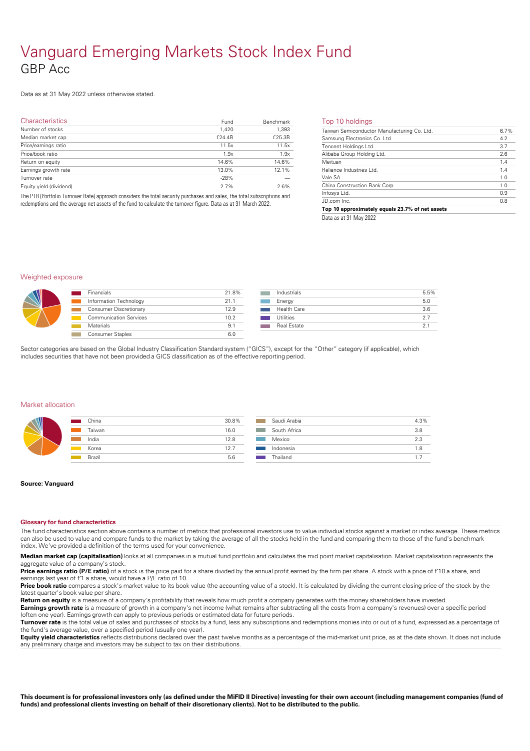# Vanguard Emerging Markets Stock Index Fund GBP Acc

### Data as at 31 May 2022 unless otherwise stated.

| <b>Characteristics</b>  | Fund   | Benchmark | Тc                        |
|-------------------------|--------|-----------|---------------------------|
| Number of stocks        | 1,420  | 1,393     | $\overline{\mathsf{Tai}}$ |
| Median market cap       | f24.4B | £25.3B    | Sar                       |
| Price/earnings ratio    | 11.5x  | 11.5x     | Ter                       |
| Price/book ratio        | 1.9x   | 1.9x      | Alit                      |
| Return on equity        | 14.6%  | 14.6%     | Me                        |
| Earnings growth rate    | 13.0%  | 12.1%     | Rel                       |
| Turnover rate           | $-28%$ |           | Val                       |
| Equity yield (dividend) | 2.7%   | 2.6%      | Chi                       |
|                         |        |           | $\sim$ $\sim$             |

The PTR (Portfolio Turnover Rate) approach considers the total security purchases and sales, the total subscriptions and redemptions and the average net assets of the fund to calculate the turnover figure. Data as at 31 March 2022.

#### Top 10 holdings

| Taiwan Semiconductor Manufacturing Co. Ltd. | 6.7% |
|---------------------------------------------|------|
| Samsung Electronics Co. Ltd.                | 4.2  |
| Tencent Holdings Ltd.                       | 3.7  |
| Alibaba Group Holding Ltd.                  | 2.6  |
| Meituan                                     | 1.4  |
| Reliance Industries Ltd.                    | 1.4  |
| Vale SA                                     | 1.0  |
| China Construction Bank Corp.               | 1.0  |
| Infosys Ltd.                                | 0.9  |
| JD.com Inc.                                 | 0.8  |

Data as at 31 May 2022

#### Weighted exposure

|  | <b>Financials</b>             | 21.8%             |  | Indi  |
|--|-------------------------------|-------------------|--|-------|
|  | Information Technology        | 21.1              |  | Fne   |
|  | <b>Consumer Discretionary</b> | 12.9              |  | Hea   |
|  | <b>Communication Services</b> | 10.2 <sup>2</sup> |  | Utili |
|  | <b>Materials</b>              | 9.1               |  | Rea   |
|  | <b>Consumer Staples</b>       | 6.0               |  |       |
|  |                               |                   |  |       |

| Industrials        | 5.5% |
|--------------------|------|
| Energy             | 5.0  |
| Health Care        | 3.6  |
| Utilities          | 27   |
| <b>Real Estate</b> | 21   |

Sector categories are based on the Global Industry Classification Standard system ("GICS"), except for the "Other" category (if applicable), which includes securities that have not been provided a GICS classification as ofthe effective reporting period.

#### Market allocation

| W | China  | 30.8% | Saudi Arabia | 4.3% |
|---|--------|-------|--------------|------|
|   | Taiwan | 16.0  | South Africa | 3.8  |
|   | India  | 12.8  | Mexico       | 2.3  |
|   | Korea  | 12.7  | Indonesia    | 1.8  |
|   | Brazil | 5.6   | Thailand     |      |

#### **Source: Vanguard**

#### **Glossary for fund characteristics**

The fund characteristics section above contains a number of metrics that professional investors use to value individual stocks against a market or index average. These metrics can also be used to value and compare funds to the market by taking the average of all the stocks held in the fund and comparing them to those of the fund's benchmark index. We've provided a definition of the terms used for your convenience.

**Median market cap (capitalisation)** looks at all companies in a mutual fund portfolio and calculates the mid point market capitalisation. Market capitalisation represents the aggregate value of a company's stock.

Price **earnings ratio (P/E ratio)** of a stock is the price paid for a share divided by the annual profit earned by the firm per share. A stock with a price of £10 a share, and earnings last year of £1 a share, would have a P/E ratio of 10.

Price book ratio compares a stock's market value to its book value (the accounting value of a stock). It is calculated by dividing the current closing price of the stock by the latest quarter's book value per share.

**Return on equity** is a measure of a company's profitability that reveals how much profit a company generates with the money shareholders have invested. **Earnings growth rate** is a measure of growth in a company's net income (what remains after subtracting all the costs from a company's revenues) over a specific period

(often one year). Earnings growth can apply to previous periods or estimated data for future periods. **Turnover rate** is the total value of sales and purchases of stocks by a fund, less any subscriptions and redemptions monies into or out of a fund, expressed as a percentage of

the fund's average value, over a specified period (usually one year). **Equity yield characteristics** reflects distributions declared over the past twelve months as a percentage of the mid-market unit price, as at the date shown. It does not include

any preliminary charge and investors may be subject to tax on their distributions.